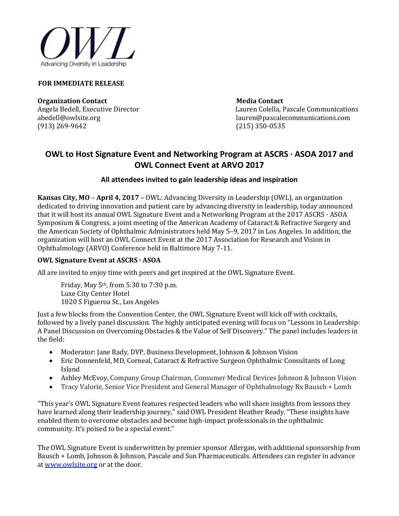

#### **FOR IMMEDIATE RELEASE**

**Organization Contact Contact Contact Contact Contact Contact Contact Contact Contact Contact Contact Contact Contact Contact Contact Contact Contact Contact Contact Contact Contact Contact Contact Contact Contact Contact** (913) 269-9642

Angela Bedell, Executive Director Lauren Colella, Pascale Communications<br>abedell@owlsite.org lauren@pascalecommunications.com lauren@pascalecommunications.com<br>(215) 350-0535

# **OWL to Host Signature Event and Networking Program at ASCRS · ASOA 2017 and OWL Connect Event at ARVO 2017**

# **All attendees invited to gain leadership ideas and inspiration**

**Kansas City, MO** – **April 4, 2017** – OWL: Advancing Diversity in Leadership (OWL), an organization dedicated to driving innovation and patient care by advancing diversity in leadership, today announced that it will host its annual OWL Signature Event and a Networking Program at the 2017 ASCRS · ASOA Symposium & Congress, a joint meeting of the American Academy of Cataract & Refractive Surgery and the American Society of Ophthalmic Administrators held May 5–9, 2017 in Los Angeles. In addition, the organization will host an OWL Connect Event at the 2017 Association for Research and Vision in Ophthalmology (ARVO) Conference held in Baltimore May 7-11.

# **OWL Signature Event at ASCRS · ASOA**

All are invited to enjoy time with peers and get inspired at the OWL Signature Event.

Friday, May 5th, from 5:30 to 7:30 p.m. Luxe City Center Hotel 1020 S Figueroa St., Los Angeles

Just a few blocks from the Convention Center, the OWL Signature Event will kick off with cocktails, followed by a lively panel discussion. The highly anticipated evening will focus on "Lessons in Leadership: A Panel Discussion on Overcoming Obstacles & the Value of Self Discovery." The panel includes leaders in the field:

- Moderator: Jane Rady, DVP, Business Development, Johnson & Johnson Vision
- Eric Donnenfeld, MD, Corneal, Cataract & Refractive Surgeon Ophthalmic Consultants of Long Island
- Ashley McEvoy, Company Group Chairman, Consumer Medical Devices Johnson & Johnson Vision
- Tracy Valorie, Senior Vice President and General Manager of Ophthalmology Rx Bausch + Lomb

"This year's OWL Signature Event features respected leaders who will share insights from lessons they have learned along their leadership journey," said OWL President Heather Ready. "These insights have enabled them to overcome obstacles and become high-impact professionals in the ophthalmic community. It's poised to be a special event."

The OWL Signature Event is underwritten by premier sponsor Allergan, with additional sponsorship from Bausch + Lomb, Johnson & Johnson, Pascale and Sun Pharmaceuticals. Attendees can register in advance at [www.owlsite.org](http://www.owlsite.org/) or at the door.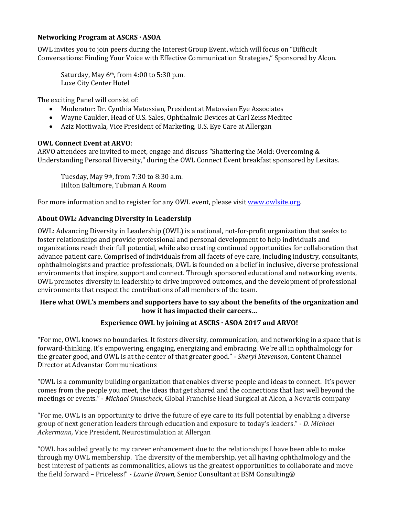#### **Networking Program at ASCRS · ASOA**

OWL invites you to join peers during the Interest Group Event, which will focus on "Difficult Conversations: Finding Your Voice with Effective Communication Strategies," Sponsored by Alcon.

Saturday, May 6<sup>th</sup>, from 4:00 to 5:30 p.m. Luxe City Center Hotel

The exciting Panel will consist of:

- Moderator: Dr. Cynthia Matossian, President at Matossian Eye Associates
- Wayne Caulder, Head of U.S. Sales, Ophthalmic Devices at Carl Zeiss Meditec
- Aziz Mottiwala, Vice President of Marketing, U.S. Eye Care at Allergan

#### **OWL Connect Event at ARVO**:

ARVO attendees are invited to meet, engage and discuss "Shattering the Mold: Overcoming & Understanding Personal Diversity," during the OWL Connect Event breakfast sponsored by Lexitas.

Tuesday, May 9th, from 7:30 to 8:30 a.m. Hilton Baltimore, Tubman A Room

For more information and to register for any OWL event, please visi[t www.owlsite.org.](http://www.owlsite.org/) 

## **About OWL: Advancing Diversity in Leadership**

OWL: Advancing Diversity in Leadership (OWL) is a national, not-for-profit organization that seeks to foster relationships and provide professional and personal development to help individuals and organizations reach their full potential, while also creating continued opportunities for collaboration that advance patient care. Comprised of individuals from all facets of eye care, including industry, consultants, ophthalmologists and practice professionals, OWL is founded on a belief in inclusive, diverse professional environments that inspire, support and connect. Through sponsored educational and networking events, OWL promotes diversity in leadership to drive improved outcomes, and the development of professional environments that respect the contributions of all members of the team.

#### **Here what OWL's members and supporters have to say about the benefits of the organization and how it has impacted their careers…**

## **Experience OWL by joining at ASCRS · ASOA 2017 and ARVO!**

"For me, OWL knows no boundaries. It fosters diversity, communication, and networking in a space that is forward-thinking. It's empowering, engaging, energizing and embracing. We're all in ophthalmology for the greater good, and OWL is at the center of that greater good." *- Sheryl Stevenson*, Content Channel Director at Advanstar Communications

"OWL is a community building organization that enables diverse people and ideas to connect. It's power comes from the people you meet, the ideas that get shared and the connections that last well beyond the meetings or events." - *Michael Onuscheck,* Global Franchise Head Surgical at Alcon, a Novartis company

"For me, OWL is an opportunity to drive the future of eye care to its full potential by enabling a diverse group of next generation leaders through education and exposure to today's leaders." - *D. Michael Ackermann,* Vice President, Neurostimulation at Allergan

"OWL has added greatly to my career enhancement due to the relationships I have been able to make through my OWL membership. The diversity of the membership, yet all having ophthalmology and the best interest of patients as commonalities, allows us the greatest opportunities to collaborate and move the field forward – Priceless!" - *Laurie Brown,* Senior Consultant at BSM Consulting®